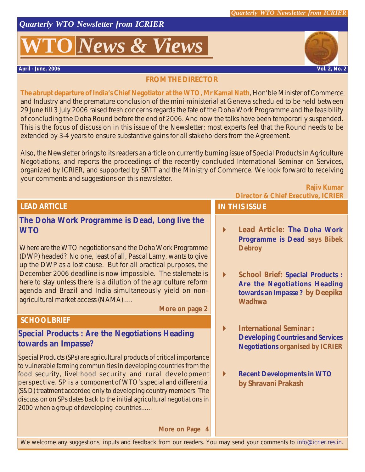*Quarterly WTO Newsletter from ICRIER*

# **O** *News* & *Views*

**April - June, 2006 Vol. 2, No. 2**

**Rajiv Kumar**

#### **FROM THE DIRECTOR**

**The abrupt departure of India's Chief Negotiator at the WTO, Mr Kamal Nath**, Hon'ble Minister of Commerce and Industry and the premature conclusion of the mini-ministerial at Geneva scheduled to be held between 29 June till 3 July 2006 raised fresh concerns regards the fate of the Doha Work Programme and the feasibility of concluding the Doha Round before the end of 2006. And now the talks have been temporarily suspended. This is the focus of discussion in this issue of the Newsletter; most experts feel that the Round needs to be extended by 3-4 years to ensure substantive gains for all stakeholders from the Agreement.

Also, the Newsletter brings to its readers an article on currently burning issue of Special Products in Agriculture Negotiations, and reports the proceedings of the recently concluded International Seminar on Services, organized by ICRIER, and supported by SRTT and the Ministry of Commerce. We look forward to receiving your comments and suggestions on this newsletter.

| <b>LEAD ARTICLE</b> |  |  |
|---------------------|--|--|
|                     |  |  |
|                     |  |  |

#### **The Doha Work Programme is Dead, Long live the WTO**

Where are the WTO negotiations and the Doha Work Programme (DWP) headed? No one, least of all, Pascal Lamy, wants to give up the DWP as a lost cause. But for all practical purposes, the December 2006 deadline is now impossible. The stalemate is here to stay unless there is a dilution of the agriculture reform agenda and Brazil and India simultaneously yield on nonagricultural market access (NAMA).....

*More on page 2*

#### **SCHOOL BRIEF**

#### **Special Products : Are the Negotiations Heading towards an Impasse?**

Special Products (SPs) are agricultural products of critical importance to vulnerable farming communities in developing countries from the food security, livelihood security and rural development perspective. SP is a component of WTO's special and differential (S&D) treatment accorded only to developing country members. The discussion on SPs dates back to the initial agricultural negotiations in 2000 when a group of developing countries......

#### *More on Page*

#### **Director & Chief Executive, ICRIER**

### **IN THIS ISSUE**

- ! **Lead Article: The Doha Work Programme is Dead** *says Bibek Debroy*
- ! **School Brief: Special Products : Are the Negotiations Heading towards an Impasse ?** *by Deepika Wadhwa*
- ! **International Seminar : Developing Countries and Services Negotiations** *organised by ICRIER*
- ! **Recent Developments in WTO** *by Shravani Prakash*

We welcome any suggestions, inputs and feedback from our readers. You may send your comments to info@icrier.res.in.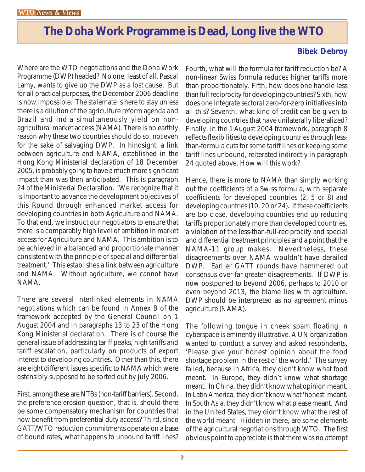### *The Doha Work Programme is Dead, Long live the WTO*

Where are the WTO negotiations and the Doha Work Programme (DWP) headed? No one, least of all, Pascal Lamy, wants to give up the DWP as a lost cause. But for all practical purposes, the December 2006 deadline is now impossible. The stalemate is here to stay unless there is a dilution of the agriculture reform agenda and Brazil and India simultaneously yield on nonagricultural market access (NAMA). There is no earthly reason why these two countries should do so, not even for the sake of salvaging DWP. In hindsight, a link between agriculture and NAMA, established in the Hong Kong Ministerial declaration of 18 December 2005, is probably going to have a much more significant impact than was then anticipated. This is paragraph 24 of the Ministerial Declaration. 'We recognize that it is important to advance the development objectives of this Round through enhanced market access for developing countries in both Agriculture and NAMA. To that end, we instruct our negotiators to ensure that there is a comparably high level of ambition in market access for Agriculture and NAMA. This ambition is to be achieved in a balanced and proportionate manner consistent with the principle of special and differential treatment.' This establishes a link between agriculture and NAMA. Without agriculture, we cannot have NAMA.

There are several interlinked elements in NAMA negotiations which can be found in Annex B of the framework accepted by the General Council on 1 August 2004 and in paragraphs 13 to 23 of the Hong Kong Ministerial declaration. There is of course the general issue of addressing tariff peaks, high tariffs and tariff escalation, particularly on products of export interest to developing countries. Other than this, there are eight different issues specific to NAMA which were ostensibly supposed to be sorted out by July 2006.

First, among these are NTBs (non-tariff barriers). Second, the preference erosion question, that is, should there be some compensatory mechanism for countries that now benefit from preferential duty access? Third, since GATT/WTO reduction commitments operate on a base of bound rates, what happens to unbound tariff lines?

### **Bibek Debroy**

Fourth, what will the formula for tariff reduction be? A non-linear Swiss formula reduces higher tariffs more than proportionately. Fifth, how does one handle less than full reciprocity for developing countries? Sixth, how does one integrate sectoral zero-for-zero initiatives into all this? Seventh, what kind of credit can be given to developing countries that have unilaterally liberalized? Finally, in the 1August 2004 framework, paragraph 8 reflects flexibilities to developing countries through lessthan-formula cuts for some tariff lines or keeping some tariff lines unbound, reiterated indirectly in paragraph 24 quoted above. How will this work?

Hence, there is more to NAMA than simply working out the coefficients of a Swiss formula, with separate coefficients for developed countries (2, 5 or 8) and developing countries (10, 20 or 24). If these coefficients are too close, developing countries end up reducing tariffs proportionately more than developed countries, a violation of the less-than-full-reciprocity and special and differential treatment principles and a point that the NAMA-11 group makes. Nevertheless, these disagreements over NAMA wouldn't have derailed DWP. Earlier GATT rounds have hammered out consensus over far greater disagreements. If DWP is now postponed to beyond 2006, perhaps to 2010 or even beyond 2013, the blame lies with agriculture. DWP should be interpreted as no agreement minus agriculture (NAMA).

The following tongue in cheek spam floating in cyberspace is eminently illustrative. A UN organization wanted to conduct a survey and asked respondents, 'Please give your honest opinion about the food shortage problem in the rest of the world.' The survey failed, because in Africa, they didn't know what food meant. In Europe, they didn't know what shortage meant. In China, they didn't know what opinion meant. In Latin America, they didn't know what 'honest' meant. In South Asia, they didn't know what please meant. And in the United States, they didn't know what the rest of the world meant. Hidden in there, are some elements of the agricultural negotiations through WTO. The first obvious point to appreciate is that there was no attempt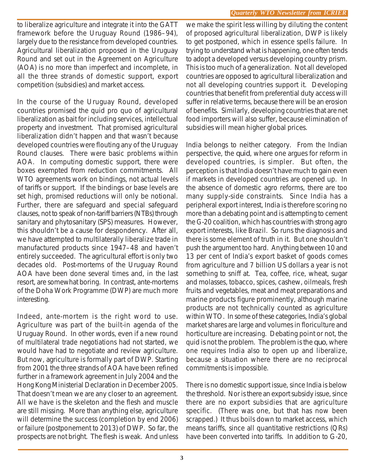to liberalize agriculture and integrate it into the GATT framework before the Uruguay Round (1986–94), largely due to the resistance from developed countries. Agricultural liberalization proposed in the Uruguay Round and set out in the Agreement on Agriculture (AOA) is no more than imperfect and incomplete, in all the three strands of domestic support, export competition (subsidies) and market access.

In the course of the Uruguay Round, developed countries promised the quid pro quo of agricultural liberalization as bait for including services, intellectual property and investment. That promised agricultural liberalization didn't happen and that wasn't because developed countries were flouting any of the Uruguay Round clauses. There were basic problems within AOA. In computing domestic support, there were boxes exempted from reduction commitments. All WTO agreements work on bindings, not actual levels of tariffs or support. If the bindings or base levels are set high, promised reductions will only be notional. Further, there are safeguard and special safeguard clauses, not to speak of non-tariff barriers (NTBs) through sanitary and phytosanitary (SPS) measures. However, this shouldn't be a cause for despondency. After all, we have attempted to multilaterally liberalize trade in manufactured products since 1947–48 and haven't entirely succeeded. The agricultural effort is only two decades old. Post-mortems of the Uruguay Round AOA have been done several times and, in the last resort, are somewhat boring. In contrast, ante-mortems of the Doha Work Programme (DWP) are much more interesting.

Indeed, ante-mortem is the right word to use. Agriculture was part of the built-in agenda of the Uruguay Round. In other words, even if a new round of multilateral trade negotiations had not started, we would have had to negotiate and review agriculture. But now, agriculture is formally part of DWP. Starting from 2001 the three strands of AOA have been refined further in a framework agreement in July 2004 and the Hong Kong Ministerial Declaration in December 2005. That doesn't mean we are any closer to an agreement. All we have is the skeleton and the flesh and muscle are still missing. More than anything else, agriculture will determine the success (completion by end 2006) or failure (postponement to 2013) of DWP. So far, the prospects are not bright. The flesh is weak. And unless

we make the spirit less willing by diluting the content of proposed agricultural liberalization, DWP is likely to get postponed, which in essence spells failure. In trying to understand what is happening, one often tends to adopt a developed versus developing country prism. This is too much of a generalization. Not all developed countries are opposed to agricultural liberalization and not all developing countries support it. Developing countries that benefit from preferential duty access will suffer in relative terms, because there will be an erosion of benefits. Similarly, developing countries that are net food importers will also suffer, because elimination of subsidies will mean higher global prices.

India belongs to neither category. From the Indian perspective, the *quid*, where one argues for reform in developed countries, is simpler. But often, the perception is that India doesn't have much to gain even if markets in developed countries are opened up. In the absence of domestic agro reforms, there are too many supply-side constraints. Since India has a peripheral export interest, India is therefore scoring no more than a debating point and is attempting to cement the G-20 coalition, which has countries with strong agro export interests, like Brazil. So runs the diagnosis and there is some element of truth in it. But one shouldn't push the argument too hard. Anything between 10 and 13 per cent of India's export basket of goods comes from agriculture and 7 billion US dollars a year is not something to sniff at. Tea, coffee, rice, wheat, sugar and molasses, tobacco, spices, cashew, oilmeals, fresh fruits and vegetables, meat and meat preparations and marine products figure prominently, although marine products are not technically counted as agriculture within WTO. In some of these categories, India's global market shares are large and volumes in floriculture and horticulture are increasing. Debating point or not, the quid is not the problem. The problem is the *quo*, where one requires India also to open up and liberalize, because a situation where there are no reciprocal commitments is impossible.

There is no domestic support issue, since India is below the threshold. Nor is there an export subsidy issue, since there are no export subsidies that are agriculture specific. (There was one, but that has now been scrapped.) It thus boils down to market access, which means tariffs, since all quantitative restrictions (QRs) have been converted into tariffs. In addition to G-20,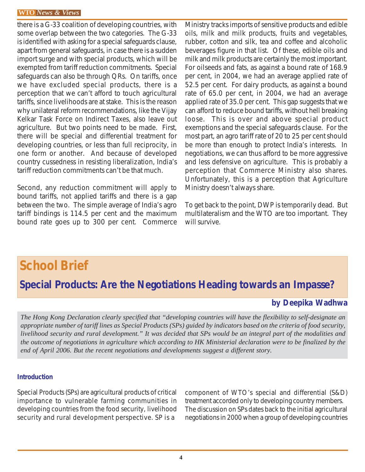there is a G-33 coalition of developing countries, with some overlap between the two categories. The G-33 is identified with asking for a special safeguards clause, apart from general safeguards, in case there is a sudden import surge and with special products, which will be exempted from tariff reduction commitments. Special safeguards can also be through QRs. On tariffs, once we have excluded special products, there is a perception that we can't afford to touch agricultural tariffs, since livelihoods are at stake. This is the reason why unilateral reform recommendations, like the Vijay Kelkar Task Force on Indirect Taxes, also leave out agriculture. But two points need to be made. First, there will be special and differential treatment for developing countries, or less than full reciprocity, in one form or another. And because of developed country cussedness in resisting liberalization, India's tariff reduction commitments can't be that much.

Second, any reduction commitment will apply to bound tariffs, not applied tariffs and there is a gap between the two. The simple average of India's agro tariff bindings is 114.5 per cent and the maximum bound rate goes up to 300 per cent. Commerce

Ministry tracks imports of sensitive products and edible oils, milk and milk products, fruits and vegetables, rubber, cotton and silk, tea and coffee and alcoholic beverages figure in that list. Of these, edible oils and milk and milk products are certainly the most important. For oilseeds and fats, as against a bound rate of 168.9 per cent, in 2004, we had an average applied rate of 52.5 per cent. For dairy products, as against a bound rate of 65.0 per cent, in 2004, we had an average applied rate of 35.0 per cent. This gap suggests that we can afford to reduce bound tariffs, without hell breaking loose. This is over and above special product exemptions and the special safeguards clause. For the most part, an agro tariff rate of 20 to 25 per cent should be more than enough to protect India's interests. In negotiations, we can thus afford to be more aggressive and less defensive on agriculture. This is probably a perception that Commerce Ministry also shares. Unfortunately, this is a perception that Agriculture Ministry doesn't always share.

To get back to the point, DWP is temporarily dead. But multilateralism and the WTO are too important. They will survive.

### **School Brief**

*Special Products: Are the Negotiations Heading towards an Impasse?*

#### **by Deepika Wadhwa**

*The Hong Kong Declaration clearly specified that "developing countries will have the flexibility to self-designate an appropriate number of tariff lines as Special Products (SPs) guided by indicators based on the criteria of food security, livelihood security and rural development." It was decided that SPs would be an integral part of the modalities and the outcome of negotiations in agriculture which according to HK Ministerial declaration were to be finalized by the end of April 2006. But the recent negotiations and developments suggest a different story.*

#### **Introduction**

Special Products (SPs) are agricultural products of critical importance to vulnerable farming communities in developing countries from the food security, livelihood security and rural development perspective. SP is a

component of WTO's special and differential (S&D) treatment accorded only to developing country members. The discussion on SPs dates back to the initial agricultural negotiations in 2000 when a group of developing countries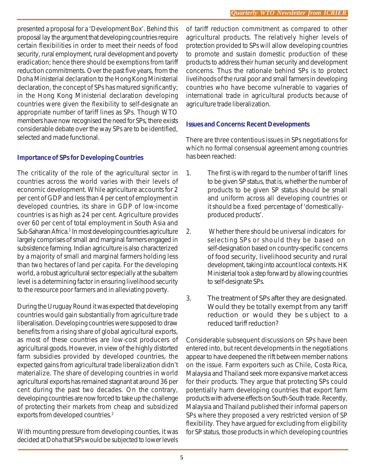presented a proposal for a 'Development Box'. Behind this proposal lay the argument that developing countries require certain flexibilities in order to meet their needs of food security, rural employment, rural development and poverty eradication; hence there should be exemptions from tariff reduction commitments. Over the past five years, from the Doha Ministerial declaration to the Hong Kong Ministerial declaration, the concept of SPs has matured significantly; in the Hong Kong Ministerial declaration developing countries were given the flexibility to self-designate an appropriate number of tariff lines as SPs. Though WTO members have now recognised the need for SPs, there exists considerable debate over the way SPs are to be identified, selected and made functional.

#### **Importance of SPs for Developing Countries**

The criticality of the role of the agricultural sector in countries across the world varies with their levels of economic development. While agriculture accounts for 2 per cent of GDP and less than 4 per cent of employment in developed countries, its share in GDP of low-income countries is as high as 24 per cent. Agriculture provides over 60 per cent of total employment in South Asia and Sub-Saharan Africa.<sup>1</sup> In most developing countries agriculture largely comprises of small and marginal farmers engaged in subsistence farming. Indian agriculture is also characterized by a majority of small and marginal farmers holding less than two hectares of land per capita. For the developing world, a robust agricultural sector especially at the subaltern level is a determining factor in ensuring livelihood security to the resource poor farmers and in alleviating poverty.

During the Uruguay Round it was expected that developing countries would gain substantially from agriculture trade liberalisation. Developing countries were supposed to draw benefits from a rising share of global agricultural exports, as most of these countries are low-cost producers of agricultural goods. However, in view of the highly distorted farm subsidies provided by developed countries, the expected gains from agricultural trade liberalization didn't materialize. The share of developing countries in world agricultural exports has remained stagnant at around 36 per cent during the past two decades. On the contrary, developing countries are now forced to take up the challenge of protecting their markets from cheap and subsidized exports from developed countries.<sup>2</sup>

With mounting pressure from developing counties, it was decided at Doha that SPs would be subjected to lower levels of tariff reduction commitment as compared to other agricultural products. The relatively higher levels of protection provided to SPs will allow developing countries to promote and sustain domestic production of these products to address their human security and development concerns. Thus the rationale behind SPs is to protect livelihoods of the rural poor and small farmers in developing countries who have become vulnerable to vagaries of international trade in agricultural products because of agriculture trade liberalization.

#### **Issues and Concerns: Recent Developments**

There are three contentious issues in SPs negotiations for which no formal consensual agreement among countries has been reached:

- 1. The first is with regard to the number of tariff lines to be given SP status, that is, whether the number of products to be given SP status should be small and uniform across all developing countries or it should be a fixed percentage of 'domesticallyproduced products'.
- 2. Whether there should be universal indicators for selecting SPs or should they be based on self-designation based on country-specific concerns of food security, livelihood security and rural development, taking into account local contexts. HK Ministerial took a step forward by allowing countries to self-designate SPs.
- 3. The treatment of SPs after they are designated. Would they be totally exempt from any tariff reduction or would they be s ubject to a reduced tariff reduction?

Considerable subsequent discussions on SPs have been entered into, but recent developments in the negotiations appear to have deepened the rift between member nations on the issue. Farm exporters such as Chile, Costa Rica, Malaysia and Thailand seek more expansive market access for their products. They argue that protecting SPs could potentially harm developing countries that export farm products with adverse effects on South-South trade. Recently, Malaysia and Thailand published their informal papers on SPs where they proposed a very restricted version of SP flexibility. They have argued for excluding from eligibility for SP status, those products in which developing countries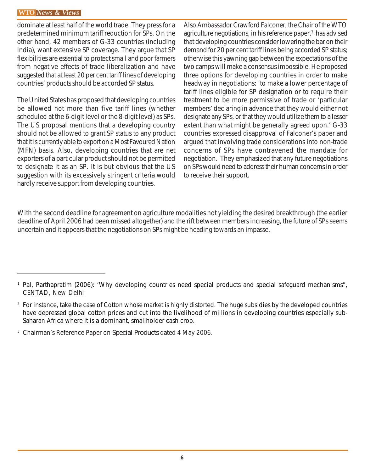dominate at least half of the world trade. They press for a predetermined minimum tariff reduction for SPs. On the other hand, 42 members of G-33 countries (including India), want extensive SP coverage. They argue that SP flexibilities are essential to protect small and poor farmers from negative effects of trade liberalization and have suggested that at least 20 per cent tariff lines of developing countries' products should be accorded SP status.

The United States has proposed that developing countries be allowed not more than five tariff lines (whether scheduled at the 6-digit level or the 8-digit level) as SPs. The US proposal mentions that a developing country should not be allowed to grant SP status to any product that it is currently able to export on a Most Favoured Nation (MFN) basis. Also, developing countries that are net exporters of a particular product should not be permitted to designate it as an SP. It is but obvious that the US suggestion with its excessively stringent criteria would hardly receive support from developing countries.

Also Ambassador Crawford Falconer, the Chair of the WTO agriculture negotiations, in his reference paper,<sup>3</sup> has advised that developing countries consider lowering the bar on their demand for 20 per cent tariff lines being accorded SP status; otherwise this yawning gap between the expectations of the two camps will make a consensus impossible. He proposed three options for developing countries in order to make headway in negotiations: 'to make a lower percentage of tariff lines eligible for SP designation or to require their treatment to be more permissive of trade or 'particular members' declaring in advance that they would either not designate any SPs, or that they would utilize them to a lesser extent than what might be generally agreed upon.' G-33 countries expressed disapproval of Falconer's paper and argued that involving trade considerations into non-trade concerns of SPs have contravened the mandate for negotiation. They emphasized that any future negotiations on SPs would need to address their human concerns in order to receive their support.

With the second deadline for agreement on agriculture modalities not yielding the desired breakthrough (the earlier deadline of April 2006 had been missed altogether) and the rift between members increasing, the future of SPs seems uncertain and it appears that the negotiations on SPs might be heading towards an impasse.

<sup>&</sup>lt;sup>1</sup> Pal, Parthapratim (2006): 'Why developing countries need special products and special safeguard mechanisms", CENTAD, New Delhi

<sup>&</sup>lt;sup>2</sup> For instance, take the case of Cotton whose market is highly distorted. The huge subsidies by the developed countries have depressed global cotton prices and cut into the livelihood of millions in developing countries especially sub-Saharan Africa where it is a dominant, smallholder cash crop.

<sup>3</sup> Chairman's Reference Paper on *Special Products* dated 4 May 2006.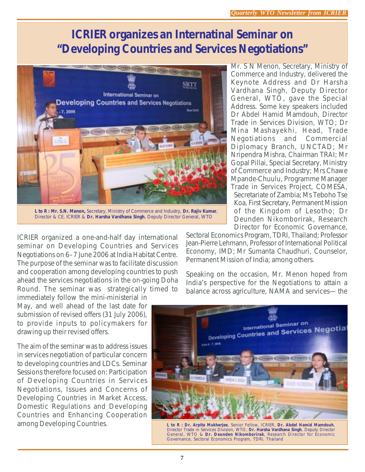### **ICRIER organizes an Internatinal Seminar on** *"Developing Countries and Services Negotiations"*



**L to R : Mr. S.N. Menon,** Secretary, Ministry of Commerce and Industry, **Dr. Rajiv Kumar**, Director & CE, ICRIER & **Dr. Harsha Vardhana Singh**, Deputy Director General, WTO

ICRIER organized a one-and-half day international seminar on Developing Countries and Services Negotiations on 6–7 June 2006 at India Habitat Centre. The purpose of the seminar was to facilitate discussion and cooperation among developing countries to push ahead the services negotiations in the on-going Doha Round. The seminar was strategically timed to

immediately follow the mini-ministerial in May, and well ahead of the last date for submission of revised offers (31 July 2006), to provide inputs to policymakers for drawing up their revised offers.

The aim of the seminar was to address issues in services negotiation of particular concern to developing countries and LDCs. Seminar Sessions therefore focused on: Participation of Developing Countries in Services Negotiations, Issues and Concerns of Developing Countries in Market Access, Domestic Regulations and Developing Countries and Enhancing Cooperation among Developing Countries.

Mr. S N Menon, Secretary, Ministry of Commerce and Industry, delivered the Keynote Address and Dr Harsha Vardhana Singh, Deputy Director General, WTO, gave the Special Address. Some key speakers included Dr Abdel Hamid Mamdouh, Director Trade in Services Division, WTO; Dr Mina Mashayekhi, Head, Trade Negotiations and Commercial Diplomacy Branch, UNCTAD; Mr Nripendra Mishra, Chairman TRAI; Mr Gopal Pillai, Special Secretary, Ministry of Commerce and Industry; Mrs Chawe Mpande-Chuulu, Programme Manager Trade in Services Project, COMESA, Secretariate of Zambia; Ms Teboho Tse Koa, First Secretary, Permanent Mission of the Kingdom of Lesotho; Dr Deunden Nikomborirak, Research Director for Economic Governance,

Sectoral Economics Program, TDRI, Thailand; Professor Jean-Pierre Lehmann, Professor of International Political Economy, IMD; Mr Sumanta Chaudhuri, Counselor, Permanent Mission of India; among others.

Speaking on the occasion, Mr. Menon hoped from India's perspective for the Negotiations to attain a balance across agriculture, NAMA and services— the



**L to R : Dr. Arpita Mukherjee**, Senior Fellow, ICRIER, **Dr. Abdel Hamid Mamdouh**, Director Trade in Services Division, WTO, **Dr. Harsha Vardhana Singh**, Deputy Director General, WTO & **Dr. Deunden Nikomborirak**, Research Director for Economic Governance, Sectoral Economics Program, TDRI, Thailand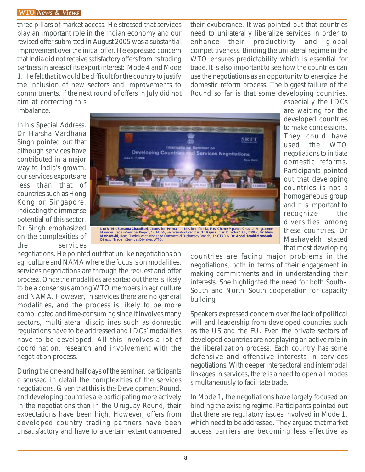three pillars of market access. He stressed that services play an important role in the Indian economy and our revised offer submitted in August 2005 was a substantial improvement over the initial offer. He expressed concern that India did not receive satisfactory offers from its trading partners in areas of its export interest: Mode 4 and Mode 1. He felt that it would be difficult for the country to justify the inclusion of new sectors and improvements to commitments, if the next round of offers in July did not aim at correcting this

their exuberance. It was pointed out that countries need to unilaterally liberalize services in order to enhance their productivity and global competitiveness. Binding the unilateral regime in the WTO ensures predictability which is essential for trade. It is also important to see how the countries can use the negotiations as an opportunity to energize the domestic reform process. The biggest failure of the Round so far is that some developing countries,

In his Special Address, Dr Harsha Vardhana Singh pointed out that although services have contributed in a major way to India's growth, our services exports are less than that of countries such as Hong Kong or Singapore, indicating the immense potential of this sector. Dr Singh emphasized on the complexities of the services

imbalance.



especially the LDCs are waiting for the developed countries to make concessions. They could have used the WTO negotiations to initiate domestic reforms. Participants pointed out that developing countries is not a homogeneous group and it is important to recognize the diversities among these countries. Dr Mashayekhi stated that most developing

negotiations. He pointed out that unlike negotiations on agriculture and NAMA where the focus is on modalities, services negotiations are through the request and offer process. Once the modalities are sorted out there is likely to be a consensus among WTO members in agriculture and NAMA. However, in services there are no general modalities, and the process is likely to be more complicated and time-consuming since it involves many sectors, multilateral disciplines such as domestic regulations have to be addressed and LDCs' modalities have to be developed. All this involves a lot of coordination, research and involvement with the negotiation process.

During the one-and half days of the seminar, participants discussed in detail the complexities of the services negotiations. Given that this is the Development Round, and developing countries are participating more actively in the negotiations than in the Uruguay Round, their expectations have been high. However, offers from developed country trading partners have been unsatisfactory and have to a certain extent dampened

countries are facing major problems in the negotiations, both in terms of their engagement in making commitments and in understanding their interests. She highlighted the need for both South– South and North–South cooperation for capacity building.

Speakers expressed concern over the lack of political will and leadership from developed countries such as the US and the EU. Even the private sectors of developed countries are not playing an active role in the liberalization process. Each country has some defensive and offensive interests in services negotiations. With deeper intersectoral and intermodal linkages in services, there is a need to open all modes simultaneously to facilitate trade.

In Mode 1, the negotiations have largely focused on binding the existing regime. Participants pointed out that there are regulatory issues involved in Mode 1, which need to be addressed. They argued that market access barriers are becoming less effective as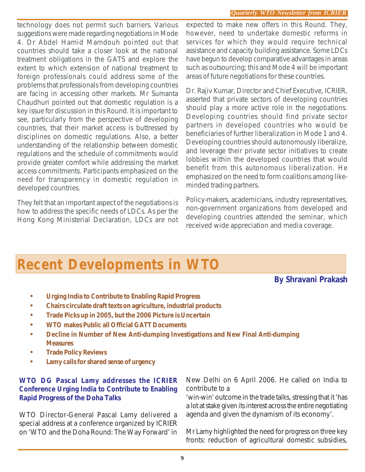technology does not permit such barriers. Various suggestions were made regarding negotiations in Mode 4. Dr Abdel Hamid Mamdouh pointed out that countries should take a closer look at the national treatment obligations in the GATS and explore the extent to which extension of national treatment to foreign professionals could address some of the problems that professionals from developing countries are facing in accessing other markets. Mr Sumanta Chaudhuri pointed out that domestic regulation is a key issue for discussion in this Round. It is important to see, particularly from the perspective of developing countries, that their market access is buttressed by disciplines on domestic regulations. Also, a better understanding of the relationship between domestic regulations and the schedule of commitments would provide greater comfort while addressing the market access commitments. Participants emphasized on the need for transparency in domestic regulation in developed countries.

They felt that an important aspect of the negotiations is how to address the specific needs of LDCs. As per the Hong Kong Ministerial Declaration, LDCs are not expected to make new offers in this Round. They, however, need to undertake domestic reforms in services for which they would require technical assistance and capacity building assistance. Some LDCs have begun to develop comparative advantages in areas such as outsourcing; this and Mode 4 will be important areas of future negotiations for these countries.

Dr. Rajiv Kumar, Director and Chief Executive, ICRIER, asserted that private sectors of developing countries should play a more active role in the negotiations. Developing countries should find private sector partners in developed countries who would be beneficiaries of further liberalization in Mode 1 and 4. Developing countries should autonomously liberalize, and leverage their private sector initiatives to create lobbies within the developed countries that would benefit from this autonomous liberalization. He emphasized on the need to form coalitions among likeminded trading partners.

Policy-makers, academicians, industry representatives, non-government organizations from developed and developing countries attended the seminar, which received wide appreciation and media coverage.

## **Recent Developments in WTO**

**By Shravani Prakash**

- **• Urging India to Contribute to Enabling Rapid Progress**
- **• Chairs circulate draft texts on agriculture, industrial products**
- **• Trade Picks up in 2005, but the 2006 Picture is Uncertain**
- **• WTO makes Public all Official GATT Documents**
- **• Decline in Number of New Anti-dumping Investigations and New Final Anti-dumping Measures**
- **• Trade Policy Reviews**
- **• Lamy calls for shared sense of urgency**

#### **WTO DG Pascal Lamy addresses the ICRIER Conference Urging India to Contribute to Enabling Rapid Progress of the Doha Talks**

WTO Director-General Pascal Lamy delivered a special address at a conference organized by ICRIER on 'WTO and the Doha Round: The Way Forward' in New Delhi on 6 April 2006. He called on India to contribute to a

'win-win' outcome in the trade talks, stressing that it 'has a lot at stake given its interest across the entire negotiating agenda and given the dynamism of its economy'.

Mr Lamy highlighted the need for progress on three key fronts: reduction of agricultural domestic subsidies,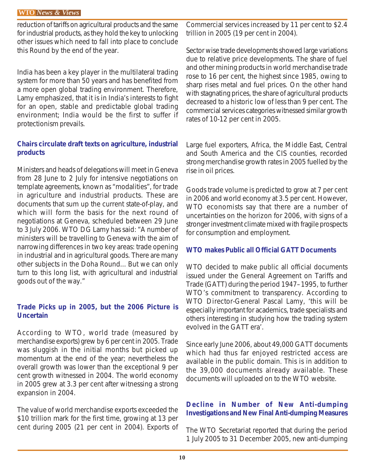reduction of tariffs on agricultural products and the same for industrial products, as they hold the key to unlocking other issues which need to fall into place to conclude this Round by the end of the year.

India has been a key player in the multilateral trading system for more than 50 years and has benefited from a more open global trading environment. Therefore, Lamy emphasized, that it is in India's interests to fight for an open, stable and predictable global trading environment; India would be the first to suffer if protectionism prevails.

#### **Chairs circulate draft texts on agriculture, industrial products**

Ministers and heads of delegations will meet in Geneva from 28 June to 2 July for intensive negotiations on template agreements, known as "modalities", for trade in agriculture and industrial products. These are documents that sum up the current state-of-play, and which will form the basis for the next round of negotiations at Geneva, scheduled between 29 June to 3 July 2006. WTO DG Lamy has said: "A number of ministers will be travelling to Geneva with the aim of narrowing differences in two key areas: trade opening in industrial and in agricultural goods. There are many other subjects in the Doha Round... But we can only turn to this long list, with agricultural and industrial goods out of the way."

#### **Trade Picks up in 2005, but the 2006 Picture is Uncertain**

According to WTO, world trade (measured by merchandise exports) grew by 6 per cent in 2005. Trade was sluggish in the initial months but picked up momentum at the end of the year; nevertheless the overall growth was lower than the exceptional 9 per cent growth witnessed in 2004. The world economy in 2005 grew at 3.3 per cent after witnessing a strong expansion in 2004.

The value of world merchandise exports exceeded the \$10 trillion mark for the first time, growing at 13 per cent during 2005 (21 per cent in 2004). Exports of Commercial services increased by 11 per cent to \$2.4 trillion in 2005 (19 per cent in 2004).

Sector wise trade developments showed large variations due to relative price developments. The share of fuel and other mining products in world merchandise trade rose to 16 per cent, the highest since 1985, owing to sharp rises metal and fuel prices. On the other hand with stagnating prices, the share of agricultural products decreased to a historic low of less than 9 per cent. The commercial services categories witnessed similar growth rates of 10-12 per cent in 2005.

Large fuel exporters, Africa, the Middle East, Central and South America and the CIS counties, recorded strong merchandise growth rates in 2005 fuelled by the rise in oil prices.

Goods trade volume is predicted to grow at 7 per cent in 2006 and world economy at 3.5 per cent. However, WTO economists say that there are a number of uncertainties on the horizon for 2006, with signs of a stronger investment climate mixed with fragile prospects for consumption and employment.

#### **WTO makes Public all Official GATT Documents**

WTO decided to make public all official documents issued under the General Agreement on Tariffs and Trade (GATT) during the period 1947–1995, to further WTO's commitment to transparency. According to WTO Director-General Pascal Lamy, 'this will be especially important for academics, trade specialists and others interesting in studying how the trading system evolved in the GATT era'.

Since early June 2006, about 49,000 GATT documents which had thus far enjoyed restricted access are available in the public domain. This is in addition to the 39,000 documents already available. These documents will uploaded on to the WTO website.

#### **Decline in Number of New Anti-dumping Investigations and New Final Anti-dumping Measures**

The WTO Secretariat reported that during the period 1 July 2005 to 31 December 2005, new anti-dumping